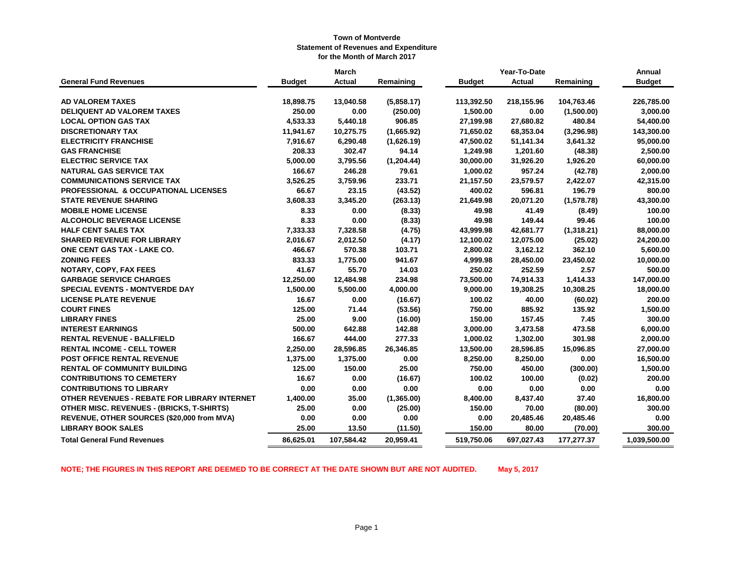|                                                  |               | <b>March</b> |             |               | Year-To-Date  |             |               |
|--------------------------------------------------|---------------|--------------|-------------|---------------|---------------|-------------|---------------|
| <b>General Fund Revenues</b>                     | <b>Budget</b> | Actual       | Remaining   | <b>Budget</b> | <b>Actual</b> | Remaining   | <b>Budget</b> |
|                                                  |               |              |             |               |               |             |               |
| <b>AD VALOREM TAXES</b>                          | 18,898.75     | 13,040.58    | (5,858.17)  | 113,392.50    | 218,155.96    | 104,763.46  | 226,785.00    |
| <b>DELIQUENT AD VALOREM TAXES</b>                | 250.00        | 0.00         | (250.00)    | 1,500.00      | 0.00          | (1,500.00)  | 3,000.00      |
| <b>LOCAL OPTION GAS TAX</b>                      | 4,533.33      | 5,440.18     | 906.85      | 27,199.98     | 27,680.82     | 480.84      | 54,400.00     |
| <b>DISCRETIONARY TAX</b>                         | 11,941.67     | 10,275.75    | (1,665.92)  | 71,650.02     | 68,353.04     | (3, 296.98) | 143,300.00    |
| <b>ELECTRICITY FRANCHISE</b>                     | 7,916.67      | 6,290.48     | (1,626.19)  | 47,500.02     | 51,141.34     | 3,641.32    | 95,000.00     |
| <b>GAS FRANCHISE</b>                             | 208.33        | 302.47       | 94.14       | 1,249.98      | 1,201.60      | (48.38)     | 2,500.00      |
| <b>ELECTRIC SERVICE TAX</b>                      | 5,000.00      | 3,795.56     | (1, 204.44) | 30,000.00     | 31,926.20     | 1,926.20    | 60,000.00     |
| <b>NATURAL GAS SERVICE TAX</b>                   | 166.67        | 246.28       | 79.61       | 1,000.02      | 957.24        | (42.78)     | 2,000.00      |
| <b>COMMUNICATIONS SERVICE TAX</b>                | 3,526.25      | 3,759.96     | 233.71      | 21,157.50     | 23,579.57     | 2,422.07    | 42,315.00     |
| <b>PROFESSIONAL &amp; OCCUPATIONAL LICENSES</b>  | 66.67         | 23.15        | (43.52)     | 400.02        | 596.81        | 196.79      | 800.00        |
| <b>STATE REVENUE SHARING</b>                     | 3,608.33      | 3,345.20     | (263.13)    | 21,649.98     | 20,071.20     | (1,578.78)  | 43,300.00     |
| <b>MOBILE HOME LICENSE</b>                       | 8.33          | 0.00         | (8.33)      | 49.98         | 41.49         | (8.49)      | 100.00        |
| <b>ALCOHOLIC BEVERAGE LICENSE</b>                | 8.33          | 0.00         | (8.33)      | 49.98         | 149.44        | 99.46       | 100.00        |
| <b>HALF CENT SALES TAX</b>                       | 7,333.33      | 7,328.58     | (4.75)      | 43,999.98     | 42,681.77     | (1,318.21)  | 88,000.00     |
| <b>SHARED REVENUE FOR LIBRARY</b>                | 2,016.67      | 2,012.50     | (4.17)      | 12,100.02     | 12,075.00     | (25.02)     | 24,200.00     |
| ONE CENT GAS TAX - LAKE CO.                      | 466.67        | 570.38       | 103.71      | 2,800.02      | 3,162.12      | 362.10      | 5,600.00      |
| <b>ZONING FEES</b>                               | 833.33        | 1,775.00     | 941.67      | 4,999.98      | 28,450.00     | 23,450.02   | 10,000.00     |
| <b>NOTARY, COPY, FAX FEES</b>                    | 41.67         | 55.70        | 14.03       | 250.02        | 252.59        | 2.57        | 500.00        |
| <b>GARBAGE SERVICE CHARGES</b>                   | 12,250.00     | 12,484.98    | 234.98      | 73,500.00     | 74,914.33     | 1,414.33    | 147,000.00    |
| SPECIAL EVENTS - MONTVERDE DAY                   | 1,500.00      | 5,500.00     | 4,000.00    | 9,000.00      | 19,308.25     | 10,308.25   | 18,000.00     |
| <b>LICENSE PLATE REVENUE</b>                     | 16.67         | 0.00         | (16.67)     | 100.02        | 40.00         | (60.02)     | 200.00        |
| <b>COURT FINES</b>                               | 125.00        | 71.44        | (53.56)     | 750.00        | 885.92        | 135.92      | 1,500.00      |
| <b>LIBRARY FINES</b>                             | 25.00         | 9.00         | (16.00)     | 150.00        | 157.45        | 7.45        | 300.00        |
| <b>INTEREST EARNINGS</b>                         | 500.00        | 642.88       | 142.88      | 3,000.00      | 3,473.58      | 473.58      | 6,000.00      |
| <b>RENTAL REVENUE - BALLFIELD</b>                | 166.67        | 444.00       | 277.33      | 1,000.02      | 1,302.00      | 301.98      | 2,000.00      |
| <b>RENTAL INCOME - CELL TOWER</b>                | 2,250.00      | 28,596.85    | 26,346.85   | 13,500.00     | 28,596.85     | 15,096.85   | 27,000.00     |
| <b>POST OFFICE RENTAL REVENUE</b>                | 1,375.00      | 1,375.00     | 0.00        | 8,250.00      | 8,250.00      | 0.00        | 16,500.00     |
| <b>RENTAL OF COMMUNITY BUILDING</b>              | 125.00        | 150.00       | 25.00       | 750.00        | 450.00        | (300.00)    | 1,500.00      |
| <b>CONTRIBUTIONS TO CEMETERY</b>                 | 16.67         | 0.00         | (16.67)     | 100.02        | 100.00        | (0.02)      | 200.00        |
| <b>CONTRIBUTIONS TO LIBRARY</b>                  | 0.00          | 0.00         | 0.00        | 0.00          | 0.00          | 0.00        | 0.00          |
| OTHER REVENUES - REBATE FOR LIBRARY INTERNET     | 1,400.00      | 35.00        | (1,365.00)  | 8,400.00      | 8,437.40      | 37.40       | 16,800.00     |
| <b>OTHER MISC. REVENUES - (BRICKS, T-SHIRTS)</b> | 25.00         | 0.00         | (25.00)     | 150.00        | 70.00         | (80.00)     | 300.00        |
| REVENUE, OTHER SOURCES (\$20,000 from MVA)       | 0.00          | 0.00         | 0.00        | 0.00          | 20,485.46     | 20,485.46   | 0.00          |
| <b>LIBRARY BOOK SALES</b>                        | 25.00         | 13.50        | (11.50)     | 150.00        | 80.00         | (70.00)     | 300.00        |
| Total General Fund Revenues                      | 86,625.01     | 107,584.42   | 20,959.41   | 519,750.06    | 697,027.43    | 177,277.37  | 1,039,500.00  |

**NOTE; THE FIGURES IN THIS REPORT ARE DEEMED TO BE CORRECT AT THE DATE SHOWN BUT ARE NOT AUDITED. May 5, 2017**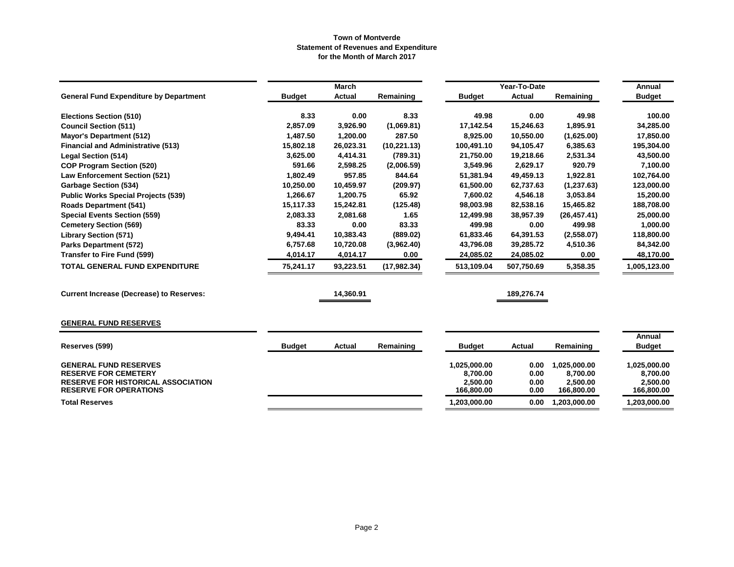|                                                                            |               | March         |              |                        | Year-To-Date  |                        | Annual                 |
|----------------------------------------------------------------------------|---------------|---------------|--------------|------------------------|---------------|------------------------|------------------------|
| <b>General Fund Expenditure by Department</b>                              | <b>Budget</b> | <b>Actual</b> | Remaining    | <b>Budget</b>          | <b>Actual</b> | Remaining              | <b>Budget</b>          |
| <b>Elections Section (510)</b>                                             | 8.33          | 0.00          | 8.33         | 49.98                  | 0.00          | 49.98                  | 100.00                 |
| <b>Council Section (511)</b>                                               | 2,857.09      | 3,926.90      | (1,069.81)   | 17,142.54              | 15,246.63     | 1,895.91               | 34,285.00              |
| <b>Mayor's Department (512)</b>                                            | 1,487.50      | 1,200.00      | 287.50       | 8,925.00               | 10,550.00     | (1,625.00)             | 17,850.00              |
| <b>Financial and Administrative (513)</b>                                  | 15,802.18     | 26,023.31     | (10, 221.13) | 100,491.10             | 94,105.47     | 6,385.63               | 195,304.00             |
| <b>Legal Section (514)</b>                                                 | 3,625.00      | 4,414.31      | (789.31)     | 21,750.00              | 19,218.66     | 2,531.34               | 43,500.00              |
| <b>COP Program Section (520)</b>                                           | 591.66        | 2,598.25      | (2,006.59)   | 3,549.96               | 2,629.17      | 920.79                 | 7,100.00               |
| <b>Law Enforcement Section (521)</b>                                       | 1,802.49      | 957.85        | 844.64       | 51,381.94              | 49,459.13     | 1,922.81               | 102,764.00             |
| <b>Garbage Section (534)</b>                                               | 10,250.00     | 10,459.97     | (209.97)     | 61,500.00              | 62,737.63     | (1, 237.63)            | 123,000.00             |
| <b>Public Works Special Projects (539)</b>                                 | 1,266.67      | 1,200.75      | 65.92        | 7,600.02               | 4,546.18      | 3,053.84               | 15,200.00              |
| <b>Roads Department (541)</b>                                              | 15,117.33     | 15,242.81     | (125.48)     | 98,003.98              | 82,538.16     | 15,465.82              | 188,708.00             |
| <b>Special Events Section (559)</b>                                        | 2,083.33      | 2,081.68      | 1.65         | 12,499.98              | 38,957.39     | (26, 457.41)           | 25,000.00              |
| <b>Cemetery Section (569)</b>                                              | 83.33         | 0.00          | 83.33        | 499.98                 | 0.00          | 499.98                 | 1,000.00               |
| <b>Library Section (571)</b>                                               | 9,494.41      | 10,383.43     | (889.02)     | 61,833.46              | 64,391.53     | (2,558.07)             | 118,800.00             |
| <b>Parks Department (572)</b>                                              | 6,757.68      | 10,720.08     | (3,962.40)   | 43,796.08              | 39,285.72     | 4,510.36               | 84,342.00              |
| <b>Transfer to Fire Fund (599)</b>                                         | 4,014.17      | 4,014.17      | 0.00         | 24,085.02              | 24,085.02     | 0.00                   | 48,170.00              |
| <b>TOTAL GENERAL FUND EXPENDITURE</b>                                      | 75,241.17     | 93,223.51     | (17, 982.34) | 513,109.04             | 507,750.69    | 5,358.35               | 1,005,123.00           |
| <b>Current Increase (Decrease) to Reserves:</b>                            |               | 14,360.91     |              |                        | 189,276.74    |                        |                        |
| <b>GENERAL FUND RESERVES</b>                                               |               |               |              |                        |               |                        |                        |
|                                                                            |               |               |              |                        |               |                        | Annual                 |
| Reserves (599)                                                             | <b>Budget</b> | <b>Actual</b> | Remaining    | <b>Budget</b>          | <b>Actual</b> | Remaining              | <b>Budget</b>          |
| <b>GENERAL FUND RESERVES</b>                                               |               |               |              | 1,025,000.00           | 0.00          | 1,025,000.00           | 1,025,000.00           |
| <b>RESERVE FOR CEMETERY</b>                                                |               |               |              | 8,700.00               | 0.00          | 8,700.00               | 8,700.00               |
| <b>RESERVE FOR HISTORICAL ASSOCIATION</b><br><b>RESERVE FOR OPERATIONS</b> |               |               |              | 2.500.00<br>166,800.00 | 0.00<br>0.00  | 2.500.00<br>166,800.00 | 2.500.00<br>166,800.00 |
| <b>Total Reserves</b>                                                      |               |               |              | 1,203,000.00           | 0.00          | 1,203,000.00           | 1,203,000.00           |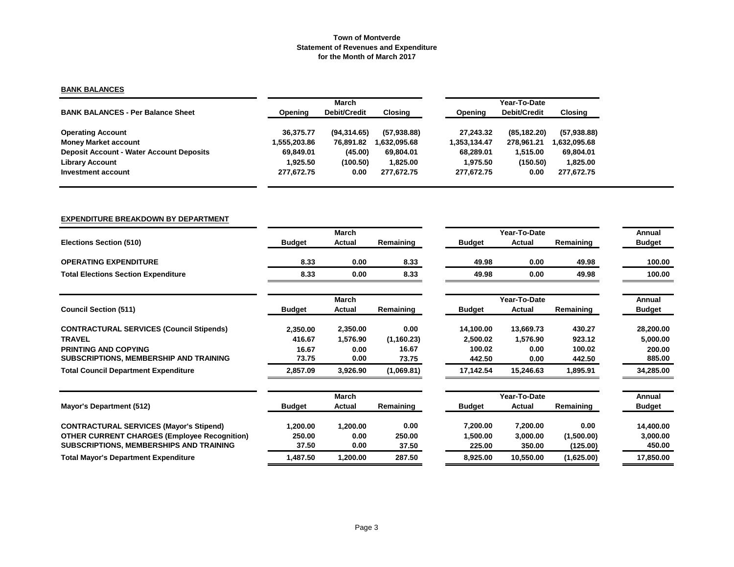# **BANK BALANCES**

|                                                 |              | March               |              |              | Year-To-Date |              |  |  |
|-------------------------------------------------|--------------|---------------------|--------------|--------------|--------------|--------------|--|--|
| <b>BANK BALANCES - Per Balance Sheet</b>        | Opening      | <b>Debit/Credit</b> | Closing      | Opening      | Debit/Credit | Closing      |  |  |
| <b>Operating Account</b>                        | 36.375.77    | (94, 314.65)        | (57, 938.88) | 27.243.32    | (85, 182.20) | (57, 938.88) |  |  |
| <b>Money Market account</b>                     | 1.555.203.86 | 76.891.82           | .632.095.68  | 1.353.134.47 | 278.961.21   | 632,095.68   |  |  |
| <b>Deposit Account - Water Account Deposits</b> | 69.849.01    | (45.00)             | 69,804.01    | 68.289.01    | 1.515.00     | 69,804.01    |  |  |
| <b>Library Account</b>                          | 1.925.50     | (100.50)            | 1.825.00     | 1.975.50     | (150.50)     | 1,825.00     |  |  |
| Investment account                              | 277.672.75   | 0.00                | 277.672.75   | 277,672.75   | 0.00         | 277,672.75   |  |  |

## **EXPENDITURE BREAKDOWN BY DEPARTMENT**

|                                                     |               | March    |             |               | Year-To-Date  |            | Annual        |
|-----------------------------------------------------|---------------|----------|-------------|---------------|---------------|------------|---------------|
| <b>Elections Section (510)</b>                      | <b>Budget</b> | Actual   | Remaining   | <b>Budget</b> | Actual        | Remaining  | <b>Budget</b> |
| <b>OPERATING EXPENDITURE</b>                        | 8.33          | 0.00     | 8.33        | 49.98         | 0.00          | 49.98      | 100.00        |
| <b>Total Elections Section Expenditure</b>          | 8.33          | 0.00     | 8.33        | 49.98         | 0.00          | 49.98      | 100.00        |
|                                                     |               | March    |             |               | Year-To-Date  |            | Annual        |
| <b>Council Section (511)</b>                        | <b>Budget</b> | Actual   | Remaining   | <b>Budget</b> | Actual        | Remaining  | <b>Budget</b> |
| <b>CONTRACTURAL SERVICES (Council Stipends)</b>     | 2,350.00      | 2,350.00 | 0.00        | 14,100.00     | 13,669.73     | 430.27     | 28,200.00     |
| <b>TRAVEL</b>                                       | 416.67        | 1,576.90 | (1, 160.23) | 2,500.02      | 1,576.90      | 923.12     | 5,000.00      |
| <b>PRINTING AND COPYING</b>                         | 16.67         | 0.00     | 16.67       | 100.02        | 0.00          | 100.02     | 200.00        |
| SUBSCRIPTIONS, MEMBERSHIP AND TRAINING              | 73.75         | 0.00     | 73.75       | 442.50        | 0.00          | 442.50     | 885.00        |
| <b>Total Council Department Expenditure</b>         | 2,857.09      | 3,926.90 | (1,069.81)  | 17,142.54     | 15,246.63     | 1,895.91   | 34,285.00     |
|                                                     |               | March    |             |               | Year-To-Date  |            | Annual        |
| <b>Mayor's Department (512)</b>                     | <b>Budget</b> | Actual   | Remaining   | <b>Budget</b> | <b>Actual</b> | Remaining  | <b>Budget</b> |
| <b>CONTRACTURAL SERVICES (Mayor's Stipend)</b>      | 1,200.00      | 1,200.00 | 0.00        | 7,200.00      | 7,200.00      | 0.00       | 14,400.00     |
| <b>OTHER CURRENT CHARGES (Employee Recognition)</b> | 250.00        | 0.00     | 250.00      | 1,500.00      | 3,000.00      | (1,500.00) | 3,000.00      |
| SUBSCRIPTIONS, MEMBERSHIPS AND TRAINING             | 37.50         | 0.00     | 37.50       | 225.00        | 350.00        | (125.00)   | 450.00        |
| <b>Total Mayor's Department Expenditure</b>         | 1,487.50      | 1,200.00 | 287.50      | 8,925.00      | 10,550.00     | (1,625.00) | 17,850.00     |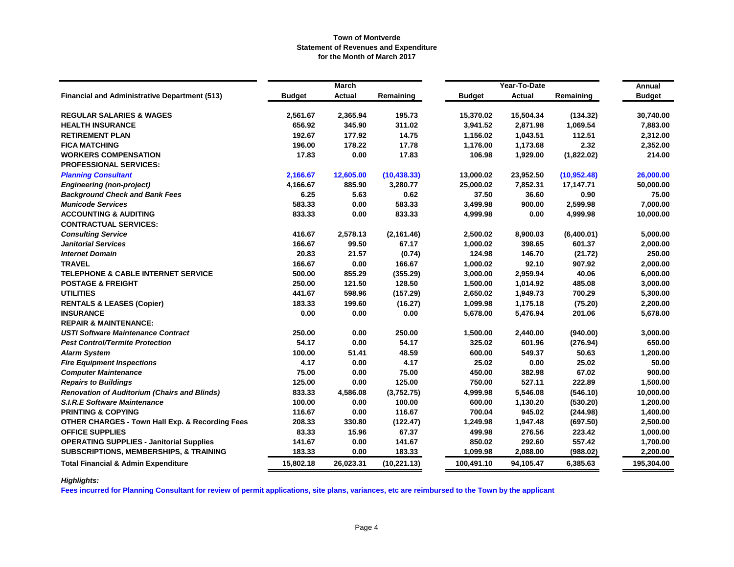|                                                            |               | <b>March</b>  |              |               | Year-To-Date  |              | Annual        |
|------------------------------------------------------------|---------------|---------------|--------------|---------------|---------------|--------------|---------------|
| <b>Financial and Administrative Department (513)</b>       | <b>Budget</b> | <b>Actual</b> | Remaining    | <b>Budget</b> | <b>Actual</b> | Remaining    | <b>Budget</b> |
| <b>REGULAR SALARIES &amp; WAGES</b>                        | 2,561.67      | 2,365.94      | 195.73       | 15,370.02     | 15,504.34     | (134.32)     | 30,740.00     |
| <b>HEALTH INSURANCE</b>                                    | 656.92        | 345.90        | 311.02       | 3,941.52      | 2,871.98      | 1,069.54     | 7,883.00      |
| <b>RETIREMENT PLAN</b>                                     | 192.67        | 177.92        | 14.75        | 1,156.02      | 1,043.51      | 112.51       | 2,312.00      |
| <b>FICA MATCHING</b>                                       | 196.00        | 178.22        | 17.78        | 1,176.00      | 1,173.68      | 2.32         | 2,352.00      |
| <b>WORKERS COMPENSATION</b>                                | 17.83         | 0.00          | 17.83        | 106.98        | 1,929.00      | (1,822.02)   | 214.00        |
| <b>PROFESSIONAL SERVICES:</b>                              |               |               |              |               |               |              |               |
| <b>Planning Consultant</b>                                 | 2,166.67      | 12,605.00     | (10, 438.33) | 13,000.02     | 23,952.50     | (10, 952.48) | 26,000.00     |
| <b>Engineering (non-project)</b>                           | 4,166.67      | 885.90        | 3,280.77     | 25,000.02     | 7,852.31      | 17,147.71    | 50,000.00     |
| <b>Background Check and Bank Fees</b>                      | 6.25          | 5.63          | 0.62         | 37.50         | 36.60         | 0.90         | 75.00         |
| <b>Municode Services</b>                                   | 583.33        | 0.00          | 583.33       | 3,499.98      | 900.00        | 2,599.98     | 7,000.00      |
| <b>ACCOUNTING &amp; AUDITING</b>                           | 833.33        | 0.00          | 833.33       | 4,999.98      | 0.00          | 4,999.98     | 10,000.00     |
| <b>CONTRACTUAL SERVICES:</b>                               |               |               |              |               |               |              |               |
| <b>Consulting Service</b>                                  | 416.67        | 2,578.13      | (2, 161.46)  | 2,500.02      | 8,900.03      | (6,400.01)   | 5,000.00      |
| <b>Janitorial Services</b>                                 | 166.67        | 99.50         | 67.17        | 1,000.02      | 398.65        | 601.37       | 2,000.00      |
| <b>Internet Domain</b>                                     | 20.83         | 21.57         | (0.74)       | 124.98        | 146.70        | (21.72)      | 250.00        |
| <b>TRAVEL</b>                                              | 166.67        | 0.00          | 166.67       | 1,000.02      | 92.10         | 907.92       | 2,000.00      |
| <b>TELEPHONE &amp; CABLE INTERNET SERVICE</b>              | 500.00        | 855.29        | (355.29)     | 3,000.00      | 2,959.94      | 40.06        | 6,000.00      |
| <b>POSTAGE &amp; FREIGHT</b>                               | 250.00        | 121.50        | 128.50       | 1,500.00      | 1,014.92      | 485.08       | 3,000.00      |
| <b>UTILITIES</b>                                           | 441.67        | 598.96        | (157.29)     | 2,650.02      | 1,949.73      | 700.29       | 5,300.00      |
| <b>RENTALS &amp; LEASES (Copier)</b>                       | 183.33        | 199.60        | (16.27)      | 1,099.98      | 1,175.18      | (75.20)      | 2,200.00      |
| <b>INSURANCE</b>                                           | 0.00          | 0.00          | 0.00         | 5,678.00      | 5,476.94      | 201.06       | 5,678.00      |
| <b>REPAIR &amp; MAINTENANCE:</b>                           |               |               |              |               |               |              |               |
| <b>USTI Software Maintenance Contract</b>                  | 250.00        | 0.00          | 250.00       | 1,500.00      | 2,440.00      | (940.00)     | 3,000.00      |
| <b>Pest Control/Termite Protection</b>                     | 54.17         | 0.00          | 54.17        | 325.02        | 601.96        | (276.94)     | 650.00        |
| <b>Alarm System</b>                                        | 100.00        | 51.41         | 48.59        | 600.00        | 549.37        | 50.63        | 1,200.00      |
| <b>Fire Equipment Inspections</b>                          | 4.17          | 0.00          | 4.17         | 25.02         | 0.00          | 25.02        | 50.00         |
| <b>Computer Maintenance</b>                                | 75.00         | 0.00          | 75.00        | 450.00        | 382.98        | 67.02        | 900.00        |
| <b>Repairs to Buildings</b>                                | 125.00        | 0.00          | 125.00       | 750.00        | 527.11        | 222.89       | 1,500.00      |
| <b>Renovation of Auditorium (Chairs and Blinds)</b>        | 833.33        | 4,586.08      | (3,752.75)   | 4,999.98      | 5,546.08      | (546.10)     | 10,000.00     |
| <b>S.I.R.E Software Maintenance</b>                        | 100.00        | 0.00          | 100.00       | 600.00        | 1,130.20      | (530.20)     | 1,200.00      |
| <b>PRINTING &amp; COPYING</b>                              | 116.67        | 0.00          | 116.67       | 700.04        | 945.02        | (244.98)     | 1,400.00      |
| <b>OTHER CHARGES - Town Hall Exp. &amp; Recording Fees</b> | 208.33        | 330.80        | (122.47)     | 1,249.98      | 1,947.48      | (697.50)     | 2,500.00      |
| <b>OFFICE SUPPLIES</b>                                     | 83.33         | 15.96         | 67.37        | 499.98        | 276.56        | 223.42       | 1,000.00      |
| <b>OPERATING SUPPLIES - Janitorial Supplies</b>            | 141.67        | 0.00          | 141.67       | 850.02        | 292.60        | 557.42       | 1,700.00      |
| <b>SUBSCRIPTIONS, MEMBERSHIPS, &amp; TRAINING</b>          | 183.33        | 0.00          | 183.33       | 1,099.98      | 2,088.00      | (988.02)     | 2,200.00      |
| <b>Total Financial &amp; Admin Expenditure</b>             | 15,802.18     | 26,023.31     | (10, 221.13) | 100,491.10    | 94,105.47     | 6,385.63     | 195,304.00    |

# *Highlights:*

**Fees incurred for Planning Consultant for review of permit applications, site plans, variances, etc are reimbursed to the Town by the applicant**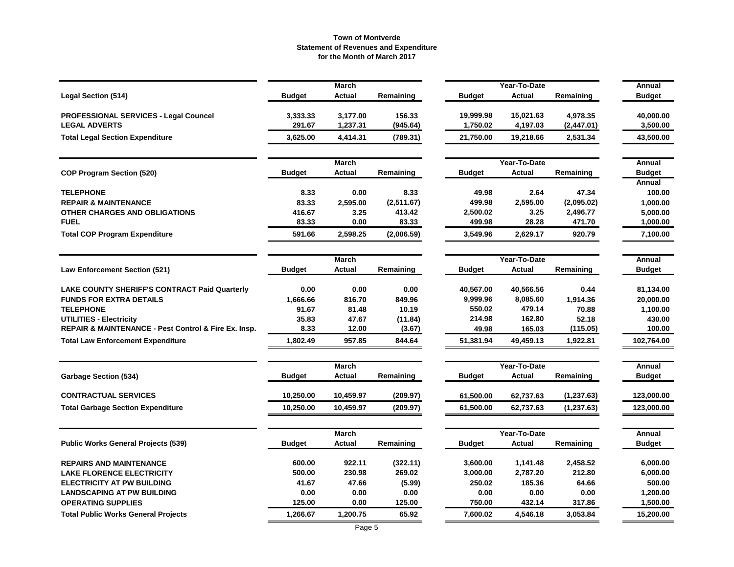|                                                      |               | <b>March</b>  |            |               | Year-To-Date  |             | Annual        |
|------------------------------------------------------|---------------|---------------|------------|---------------|---------------|-------------|---------------|
| <b>Legal Section (514)</b>                           | <b>Budget</b> | Actual        | Remaining  | Budget        | <b>Actual</b> | Remaining   | <b>Budget</b> |
| <b>PROFESSIONAL SERVICES - Legal Councel</b>         | 3,333.33      | 3,177.00      | 156.33     | 19,999.98     | 15,021.63     | 4,978.35    | 40,000.00     |
| <b>LEGAL ADVERTS</b>                                 | 291.67        | 1,237.31      | (945.64)   | 1,750.02      | 4,197.03      | (2,447.01)  | 3,500.00      |
| <b>Total Legal Section Expenditure</b>               | 3,625.00      | 4,414.31      | (789.31)   | 21,750.00     | 19,218.66     | 2,531.34    | 43,500.00     |
|                                                      |               | <b>March</b>  |            |               | Year-To-Date  |             | Annual        |
| <b>COP Program Section (520)</b>                     | <b>Budget</b> | <b>Actual</b> | Remaining  | <b>Budget</b> | <b>Actual</b> | Remaining   | <b>Budget</b> |
|                                                      |               |               |            |               |               |             | Annual        |
| <b>TELEPHONE</b>                                     | 8.33          | 0.00          | 8.33       | 49.98         | 2.64          | 47.34       | 100.00        |
| <b>REPAIR &amp; MAINTENANCE</b>                      | 83.33         | 2,595.00      | (2,511.67) | 499.98        | 2,595.00      | (2,095.02)  | 1,000.00      |
| OTHER CHARGES AND OBLIGATIONS                        | 416.67        | 3.25          | 413.42     | 2,500.02      | 3.25          | 2,496.77    | 5,000.00      |
| <b>FUEL</b>                                          | 83.33         | 0.00          | 83.33      | 499.98        | 28.28         | 471.70      | 1,000.00      |
| <b>Total COP Program Expenditure</b>                 | 591.66        | 2,598.25      | (2,006.59) | 3,549.96      | 2,629.17      | 920.79      | 7,100.00      |
|                                                      |               | <b>March</b>  |            |               | Year-To-Date  |             | Annual        |
| <b>Law Enforcement Section (521)</b>                 | <b>Budget</b> | Actual        | Remaining  | <b>Budget</b> | <b>Actual</b> | Remaining   | <b>Budget</b> |
| <b>LAKE COUNTY SHERIFF'S CONTRACT Paid Quarterly</b> | 0.00          | 0.00          | 0.00       | 40,567.00     | 40,566.56     | 0.44        | 81,134.00     |
| <b>FUNDS FOR EXTRA DETAILS</b>                       | 1,666.66      | 816.70        | 849.96     | 9,999.96      | 8,085.60      | 1,914.36    | 20,000.00     |
| <b>TELEPHONE</b>                                     | 91.67         | 81.48         | 10.19      | 550.02        | 479.14        | 70.88       | 1,100.00      |
| <b>UTILITIES - Electricity</b>                       | 35.83         | 47.67         | (11.84)    | 214.98        | 162.80        | 52.18       | 430.00        |
| REPAIR & MAINTENANCE - Pest Control & Fire Ex. Insp. | 8.33          | 12.00         | (3.67)     | 49.98         | 165.03        | (115.05)    | 100.00        |
| <b>Total Law Enforcement Expenditure</b>             | 1,802.49      | 957.85        | 844.64     | 51,381.94     | 49,459.13     | 1,922.81    | 102,764.00    |
|                                                      |               | <b>March</b>  |            |               | Year-To-Date  |             | Annual        |
| <b>Garbage Section (534)</b>                         | Budget        | <b>Actual</b> | Remaining  | <b>Budget</b> | Actual        | Remaining   | <b>Budget</b> |
| <b>CONTRACTUAL SERVICES</b>                          | 10,250.00     | 10,459.97     | (209.97)   | 61,500.00     | 62,737.63     | (1, 237.63) | 123,000.00    |
| <b>Total Garbage Section Expenditure</b>             | 10,250.00     | 10,459.97     | (209.97)   | 61,500.00     | 62,737.63     | (1, 237.63) | 123,000.00    |
|                                                      |               | <b>March</b>  |            |               | Year-To-Date  |             | Annual        |
| <b>Public Works General Projects (539)</b>           | <b>Budget</b> | Actual        | Remaining  | <b>Budget</b> | Actual        | Remaining   | <b>Budget</b> |
| <b>REPAIRS AND MAINTENANCE</b>                       | 600.00        | 922.11        | (322.11)   | 3,600.00      | 1,141.48      | 2,458.52    | 6,000.00      |
| <b>LAKE FLORENCE ELECTRICITY</b>                     | 500.00        | 230.98        | 269.02     | 3,000.00      | 2,787.20      | 212.80      | 6,000.00      |
| <b>ELECTRICITY AT PW BUILDING</b>                    | 41.67         | 47.66         | (5.99)     | 250.02        | 185.36        | 64.66       | 500.00        |
| <b>LANDSCAPING AT PW BUILDING</b>                    | 0.00          | 0.00          | 0.00       | 0.00          | 0.00          | 0.00        | 1,200.00      |
| <b>OPERATING SUPPLIES</b>                            | 125.00        | 0.00          | 125.00     | 750.00        | 432.14        | 317.86      | 1,500.00      |
| <b>Total Public Works General Projects</b>           | 1,266.67      | 1,200.75      | 65.92      | 7,600.02      | 4,546.18      | 3,053.84    | 15,200.00     |
|                                                      |               |               |            |               |               |             |               |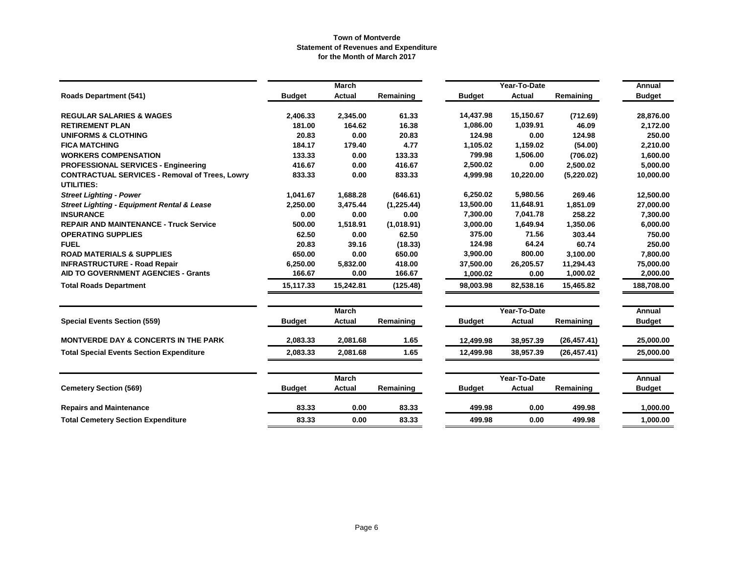|                                                                            |               | <b>March</b>  |             |               | Year-To-Date  |              | Annual        |
|----------------------------------------------------------------------------|---------------|---------------|-------------|---------------|---------------|--------------|---------------|
| <b>Roads Department (541)</b>                                              | <b>Budget</b> | Actual        | Remaining   | <b>Budget</b> | <b>Actual</b> | Remaining    | <b>Budget</b> |
| <b>REGULAR SALARIES &amp; WAGES</b>                                        | 2,406.33      | 2,345.00      | 61.33       | 14,437.98     | 15,150.67     | (712.69)     | 28,876.00     |
| <b>RETIREMENT PLAN</b>                                                     | 181.00        | 164.62        | 16.38       | 1,086.00      | 1,039.91      | 46.09        | 2,172.00      |
| <b>UNIFORMS &amp; CLOTHING</b>                                             | 20.83         | 0.00          | 20.83       | 124.98        | 0.00          | 124.98       | 250.00        |
| <b>FICA MATCHING</b>                                                       | 184.17        | 179.40        | 4.77        | 1,105.02      | 1,159.02      | (54.00)      | 2,210.00      |
| <b>WORKERS COMPENSATION</b>                                                | 133.33        | 0.00          | 133.33      | 799.98        | 1,506.00      | (706.02)     | 1,600.00      |
| <b>PROFESSIONAL SERVICES - Engineering</b>                                 | 416.67        | 0.00          | 416.67      | 2,500.02      | 0.00          | 2,500.02     | 5,000.00      |
| <b>CONTRACTUAL SERVICES - Removal of Trees, Lowry</b><br><b>UTILITIES:</b> | 833.33        | 0.00          | 833.33      | 4,999.98      | 10,220.00     | (5,220.02)   | 10,000.00     |
| <b>Street Lighting - Power</b>                                             | 1,041.67      | 1,688.28      | (646.61)    | 6,250.02      | 5,980.56      | 269.46       | 12,500.00     |
| <b>Street Lighting - Equipment Rental &amp; Lease</b>                      | 2,250.00      | 3,475.44      | (1, 225.44) | 13,500.00     | 11,648.91     | 1,851.09     | 27,000.00     |
| <b>INSURANCE</b>                                                           | 0.00          | 0.00          | 0.00        | 7,300.00      | 7,041.78      | 258.22       | 7,300.00      |
| <b>REPAIR AND MAINTENANCE - Truck Service</b>                              | 500.00        | 1,518.91      | (1,018.91)  | 3,000.00      | 1,649.94      | 1,350.06     | 6,000.00      |
| <b>OPERATING SUPPLIES</b>                                                  | 62.50         | 0.00          | 62.50       | 375.00        | 71.56         | 303.44       | 750.00        |
| <b>FUEL</b>                                                                | 20.83         | 39.16         | (18.33)     | 124.98        | 64.24         | 60.74        | 250.00        |
| <b>ROAD MATERIALS &amp; SUPPLIES</b>                                       | 650.00        | 0.00          | 650.00      | 3,900.00      | 800.00        | 3,100.00     | 7,800.00      |
| <b>INFRASTRUCTURE - Road Repair</b>                                        | 6,250.00      | 5,832.00      | 418.00      | 37,500.00     | 26,205.57     | 11,294.43    | 75,000.00     |
| AID TO GOVERNMENT AGENCIES - Grants                                        | 166.67        | 0.00          | 166.67      | 1,000.02      | 0.00          | 1,000.02     | 2,000.00      |
| <b>Total Roads Department</b>                                              | 15,117.33     | 15,242.81     | (125.48)    | 98,003.98     | 82,538.16     | 15,465.82    | 188,708.00    |
|                                                                            |               | <b>March</b>  |             | Year-To-Date  |               | Annual       |               |
| <b>Special Events Section (559)</b>                                        | <b>Budget</b> | <b>Actual</b> | Remaining   | <b>Budget</b> | <b>Actual</b> | Remaining    | <b>Budget</b> |
| <b>MONTVERDE DAY &amp; CONCERTS IN THE PARK</b>                            | 2.083.33      | 2,081.68      | 1.65        | 12,499.98     | 38,957.39     | (26, 457.41) | 25.000.00     |
| <b>Total Special Events Section Expenditure</b>                            | 2,083.33      | 2,081.68      | 1.65        | 12,499.98     | 38,957.39     | (26, 457.41) | 25,000.00     |
|                                                                            |               | <b>March</b>  |             |               | Year-To-Date  |              | <b>Annual</b> |
| <b>Cemetery Section (569)</b>                                              | <b>Budget</b> | <b>Actual</b> | Remaining   | <b>Budget</b> | Actual        | Remaining    | <b>Budget</b> |
| <b>Repairs and Maintenance</b>                                             | 83.33         | 0.00          | 83.33       | 499.98        | 0.00          | 499.98       | 1,000.00      |
| <b>Total Cemetery Section Expenditure</b>                                  | 83.33         | 0.00          | 83.33       | 499.98        | 0.00          | 499.98       | 1,000.00      |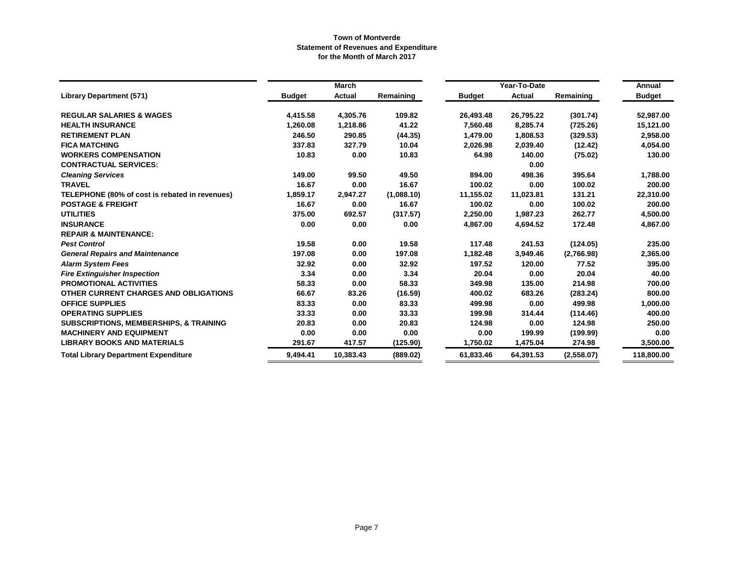|                                                   |               | <b>March</b>  |            |               | Year-To-Date  |            | Annual        |  |
|---------------------------------------------------|---------------|---------------|------------|---------------|---------------|------------|---------------|--|
| <b>Library Department (571)</b>                   | <b>Budget</b> | <b>Actual</b> | Remaining  | <b>Budget</b> | <b>Actual</b> | Remaining  | <b>Budget</b> |  |
| <b>REGULAR SALARIES &amp; WAGES</b>               | 4,415.58      | 4,305.76      | 109.82     | 26,493.48     | 26,795.22     | (301.74)   | 52,987.00     |  |
| <b>HEALTH INSURANCE</b>                           | 1,260.08      | 1,218.86      | 41.22      | 7,560.48      | 8,285.74      | (725.26)   | 15,121.00     |  |
| <b>RETIREMENT PLAN</b>                            | 246.50        | 290.85        | (44.35)    | 1,479.00      | 1,808.53      | (329.53)   | 2,958.00      |  |
| <b>FICA MATCHING</b>                              | 337.83        | 327.79        | 10.04      | 2,026.98      | 2,039.40      | (12.42)    | 4,054.00      |  |
| <b>WORKERS COMPENSATION</b>                       | 10.83         | 0.00          | 10.83      | 64.98         | 140.00        | (75.02)    | 130.00        |  |
| <b>CONTRACTUAL SERVICES:</b>                      |               |               |            |               | 0.00          |            |               |  |
| <b>Cleaning Services</b>                          | 149.00        | 99.50         | 49.50      | 894.00        | 498.36        | 395.64     | 1,788.00      |  |
| <b>TRAVEL</b>                                     | 16.67         | 0.00          | 16.67      | 100.02        | 0.00          | 100.02     | 200.00        |  |
| TELEPHONE (80% of cost is rebated in revenues)    | 1,859.17      | 2,947.27      | (1,088.10) | 11,155.02     | 11,023.81     | 131.21     | 22,310.00     |  |
| <b>POSTAGE &amp; FREIGHT</b>                      | 16.67         | 0.00          | 16.67      | 100.02        | 0.00          | 100.02     | 200.00        |  |
| <b>UTILITIES</b>                                  | 375.00        | 692.57        | (317.57)   | 2,250.00      | 1,987.23      | 262.77     | 4,500.00      |  |
| <b>INSURANCE</b>                                  | 0.00          | 0.00          | 0.00       | 4.867.00      | 4,694.52      | 172.48     | 4,867.00      |  |
| <b>REPAIR &amp; MAINTENANCE:</b>                  |               |               |            |               |               |            |               |  |
| <b>Pest Control</b>                               | 19.58         | 0.00          | 19.58      | 117.48        | 241.53        | (124.05)   | 235.00        |  |
| <b>General Repairs and Maintenance</b>            | 197.08        | 0.00          | 197.08     | 1,182.48      | 3,949.46      | (2,766.98) | 2,365.00      |  |
| <b>Alarm System Fees</b>                          | 32.92         | 0.00          | 32.92      | 197.52        | 120.00        | 77.52      | 395.00        |  |
| <b>Fire Extinguisher Inspection</b>               | 3.34          | 0.00          | 3.34       | 20.04         | 0.00          | 20.04      | 40.00         |  |
| <b>PROMOTIONAL ACTIVITIES</b>                     | 58.33         | 0.00          | 58.33      | 349.98        | 135.00        | 214.98     | 700.00        |  |
| OTHER CURRENT CHARGES AND OBLIGATIONS             | 66.67         | 83.26         | (16.59)    | 400.02        | 683.26        | (283.24)   | 800.00        |  |
| <b>OFFICE SUPPLIES</b>                            | 83.33         | 0.00          | 83.33      | 499.98        | 0.00          | 499.98     | 1,000.00      |  |
| <b>OPERATING SUPPLIES</b>                         | 33.33         | 0.00          | 33.33      | 199.98        | 314.44        | (114.46)   | 400.00        |  |
| <b>SUBSCRIPTIONS, MEMBERSHIPS, &amp; TRAINING</b> | 20.83         | 0.00          | 20.83      | 124.98        | 0.00          | 124.98     | 250.00        |  |
| <b>MACHINERY AND EQUIPMENT</b>                    | 0.00          | 0.00          | 0.00       | 0.00          | 199.99        | (199.99)   | 0.00          |  |
| <b>LIBRARY BOOKS AND MATERIALS</b>                | 291.67        | 417.57        | (125.90)   | 1,750.02      | 1,475.04      | 274.98     | 3,500.00      |  |
| <b>Total Library Department Expenditure</b>       | 9,494.41      | 10,383.43     | (889.02)   | 61,833.46     | 64,391.53     | (2,558.07) | 118,800.00    |  |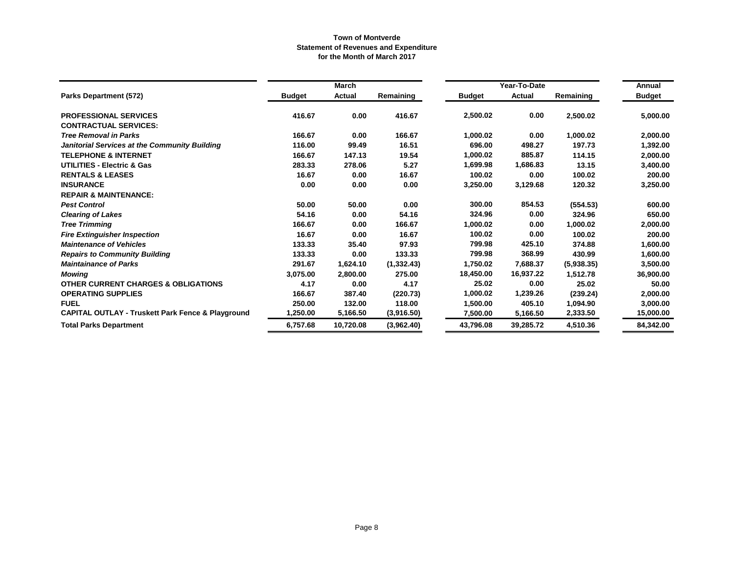|                                                              |               | <b>March</b>  |             |               | Year-To-Date |            | Annual        |
|--------------------------------------------------------------|---------------|---------------|-------------|---------------|--------------|------------|---------------|
| Parks Department (572)                                       | <b>Budget</b> | <b>Actual</b> | Remaining   | <b>Budget</b> | Actual       | Remaining  | <b>Budget</b> |
| <b>PROFESSIONAL SERVICES</b>                                 | 416.67        | 0.00          | 416.67      | 2,500.02      | 0.00         | 2,500.02   | 5,000.00      |
| <b>CONTRACTUAL SERVICES:</b>                                 |               |               |             |               |              |            |               |
| <b>Tree Removal in Parks</b>                                 | 166.67        | 0.00          | 166.67      | 1,000.02      | 0.00         | 1,000.02   | 2,000.00      |
| Janitorial Services at the Community Building                | 116.00        | 99.49         | 16.51       | 696.00        | 498.27       | 197.73     | 1,392.00      |
| <b>TELEPHONE &amp; INTERNET</b>                              | 166.67        | 147.13        | 19.54       | 1,000.02      | 885.87       | 114.15     | 2,000.00      |
| UTILITIES - Electric & Gas                                   | 283.33        | 278.06        | 5.27        | 1,699.98      | 1,686.83     | 13.15      | 3,400.00      |
| <b>RENTALS &amp; LEASES</b>                                  | 16.67         | 0.00          | 16.67       | 100.02        | 0.00         | 100.02     | 200.00        |
| <b>INSURANCE</b>                                             | 0.00          | 0.00          | 0.00        | 3,250.00      | 3,129.68     | 120.32     | 3,250.00      |
| <b>REPAIR &amp; MAINTENANCE:</b>                             |               |               |             |               |              |            |               |
| <b>Pest Control</b>                                          | 50.00         | 50.00         | 0.00        | 300.00        | 854.53       | (554.53)   | 600.00        |
| <b>Clearing of Lakes</b>                                     | 54.16         | 0.00          | 54.16       | 324.96        | 0.00         | 324.96     | 650.00        |
| <b>Tree Trimming</b>                                         | 166.67        | 0.00          | 166.67      | 1,000.02      | 0.00         | 1,000.02   | 2,000.00      |
| <b>Fire Extinguisher Inspection</b>                          | 16.67         | 0.00          | 16.67       | 100.02        | 0.00         | 100.02     | 200.00        |
| <b>Maintenance of Vehicles</b>                               | 133.33        | 35.40         | 97.93       | 799.98        | 425.10       | 374.88     | 1,600.00      |
| <b>Repairs to Community Building</b>                         | 133.33        | 0.00          | 133.33      | 799.98        | 368.99       | 430.99     | 1,600.00      |
| <b>Maintainance of Parks</b>                                 | 291.67        | 1,624.10      | (1, 332.43) | 1,750.02      | 7,688.37     | (5,938.35) | 3,500.00      |
| <b>Mowing</b>                                                | 3,075.00      | 2,800.00      | 275.00      | 18,450.00     | 16,937.22    | 1,512.78   | 36,900.00     |
| <b>OTHER CURRENT CHARGES &amp; OBLIGATIONS</b>               | 4.17          | 0.00          | 4.17        | 25.02         | 0.00         | 25.02      | 50.00         |
| <b>OPERATING SUPPLIES</b>                                    | 166.67        | 387.40        | (220.73)    | 1,000.02      | 1,239.26     | (239.24)   | 2,000.00      |
| <b>FUEL</b>                                                  | 250.00        | 132.00        | 118.00      | 1,500.00      | 405.10       | 1,094.90   | 3,000.00      |
| <b>CAPITAL OUTLAY - Truskett Park Fence &amp; Playground</b> | 1,250.00      | 5,166.50      | (3,916.50)  | 7,500.00      | 5,166.50     | 2,333.50   | 15,000.00     |
| <b>Total Parks Department</b>                                | 6,757.68      | 10,720.08     | (3,962.40)  | 43,796.08     | 39,285.72    | 4,510.36   | 84,342.00     |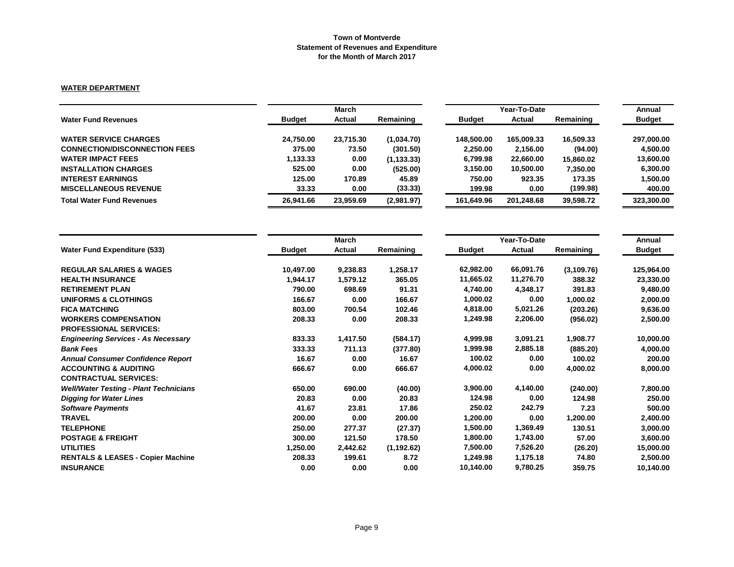# **WATER DEPARTMENT**

|                                      | March         |               |             |               | Annual     |           |               |
|--------------------------------------|---------------|---------------|-------------|---------------|------------|-----------|---------------|
| <b>Water Fund Revenues</b>           | <b>Budget</b> | <b>Actual</b> | Remaining   | <b>Budget</b> | Actual     | Remaining | <b>Budget</b> |
| <b>WATER SERVICE CHARGES</b>         | 24.750.00     | 23,715.30     | (1,034.70)  | 148.500.00    | 165,009.33 | 16,509,33 | 297,000.00    |
| <b>CONNECTION/DISCONNECTION FEES</b> | 375.00        | 73.50         | (301.50)    | 2.250.00      | 2.156.00   | (94.00)   | 4.500.00      |
| <b>WATER IMPACT FEES</b>             | 1,133.33      | 0.00          | (1, 133.33) | 6,799.98      | 22,660.00  | 15,860.02 | 13,600.00     |
| <b>INSTALLATION CHARGES</b>          | 525.00        | 0.00          | (525.00)    | 3,150.00      | 10,500.00  | 7.350.00  | 6.300.00      |
| <b>INTEREST EARNINGS</b>             | 125.00        | 170.89        | 45.89       | 750.00        | 923.35     | 173.35    | 1,500.00      |
| <b>MISCELLANEOUS REVENUE</b>         | 33.33         | 0.00          | (33.33)     | 199.98        | 0.00       | (199.98)  | 400.00        |
| <b>Total Water Fund Revenues</b>     | 26.941.66     | 23,959.69     | (2,981.97)  | 161.649.96    | 201.248.68 | 39,598.72 | 323,300.00    |

|                                               |               | March         |             | Year-To-Date  | Annual    |             |               |
|-----------------------------------------------|---------------|---------------|-------------|---------------|-----------|-------------|---------------|
| <b>Water Fund Expenditure (533)</b>           | <b>Budget</b> | <b>Actual</b> | Remaining   | <b>Budget</b> | Actual    | Remaining   | <b>Budget</b> |
| <b>REGULAR SALARIES &amp; WAGES</b>           | 10,497.00     | 9,238.83      | 1,258.17    | 62,982.00     | 66,091.76 | (3, 109.76) | 125,964.00    |
| <b>HEALTH INSURANCE</b>                       | 1,944.17      | 1,579.12      | 365.05      | 11,665.02     | 11,276.70 | 388.32      | 23,330.00     |
| <b>RETIREMENT PLAN</b>                        | 790.00        | 698.69        | 91.31       | 4,740.00      | 4,348.17  | 391.83      | 9,480.00      |
| <b>UNIFORMS &amp; CLOTHINGS</b>               | 166.67        | 0.00          | 166.67      | 1,000.02      | 0.00      | 1,000.02    | 2,000.00      |
| <b>FICA MATCHING</b>                          | 803.00        | 700.54        | 102.46      | 4,818.00      | 5,021.26  | (203.26)    | 9,636.00      |
| <b>WORKERS COMPENSATION</b>                   | 208.33        | 0.00          | 208.33      | 1,249.98      | 2,206.00  | (956.02)    | 2,500.00      |
| <b>PROFESSIONAL SERVICES:</b>                 |               |               |             |               |           |             |               |
| <b>Engineering Services - As Necessary</b>    | 833.33        | 1,417.50      | (584.17)    | 4,999.98      | 3,091.21  | 1,908.77    | 10,000.00     |
| <b>Bank Fees</b>                              | 333.33        | 711.13        | (377.80)    | 1,999.98      | 2,885.18  | (885.20)    | 4,000.00      |
| <b>Annual Consumer Confidence Report</b>      | 16.67         | 0.00          | 16.67       | 100.02        | 0.00      | 100.02      | 200.00        |
| <b>ACCOUNTING &amp; AUDITING</b>              | 666.67        | 0.00          | 666.67      | 4,000.02      | 0.00      | 4,000.02    | 8,000.00      |
| <b>CONTRACTUAL SERVICES:</b>                  |               |               |             |               |           |             |               |
| <b>Well/Water Testing - Plant Technicians</b> | 650.00        | 690.00        | (40.00)     | 3,900.00      | 4,140.00  | (240.00)    | 7,800.00      |
| <b>Digging for Water Lines</b>                | 20.83         | 0.00          | 20.83       | 124.98        | 0.00      | 124.98      | 250.00        |
| <b>Software Payments</b>                      | 41.67         | 23.81         | 17.86       | 250.02        | 242.79    | 7.23        | 500.00        |
| <b>TRAVEL</b>                                 | 200.00        | 0.00          | 200.00      | 1,200.00      | 0.00      | 1,200.00    | 2,400.00      |
| <b>TELEPHONE</b>                              | 250.00        | 277.37        | (27.37)     | 1,500.00      | 1,369.49  | 130.51      | 3,000.00      |
| <b>POSTAGE &amp; FREIGHT</b>                  | 300.00        | 121.50        | 178.50      | 1,800.00      | 1,743.00  | 57.00       | 3,600.00      |
| <b>UTILITIES</b>                              | 1,250.00      | 2,442.62      | (1, 192.62) | 7,500.00      | 7,526.20  | (26.20)     | 15,000.00     |
| <b>RENTALS &amp; LEASES - Copier Machine</b>  | 208.33        | 199.61        | 8.72        | 1,249.98      | 1,175.18  | 74.80       | 2,500.00      |
| <b>INSURANCE</b>                              | 0.00          | 0.00          | 0.00        | 10,140.00     | 9,780.25  | 359.75      | 10,140.00     |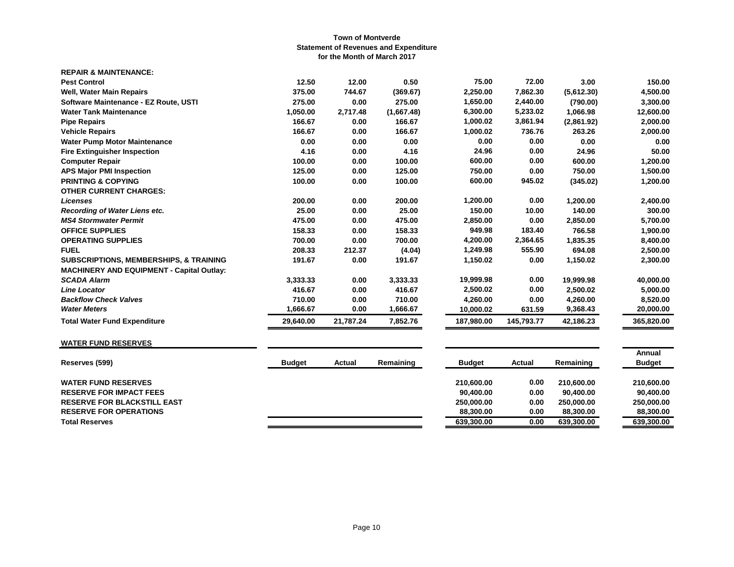| <b>REPAIR &amp; MAINTENANCE:</b>                  |           |           |            |            |            |            |            |
|---------------------------------------------------|-----------|-----------|------------|------------|------------|------------|------------|
| <b>Pest Control</b>                               | 12.50     | 12.00     | 0.50       | 75.00      | 72.00      | 3.00       | 150.00     |
| Well, Water Main Repairs                          | 375.00    | 744.67    | (369.67)   | 2,250.00   | 7,862.30   | (5,612.30) | 4,500.00   |
| Software Maintenance - EZ Route, USTI             | 275.00    | 0.00      | 275.00     | 1,650.00   | 2,440.00   | (790.00)   | 3,300.00   |
| <b>Water Tank Maintenance</b>                     | 1,050.00  | 2,717.48  | (1,667.48) | 6,300.00   | 5,233.02   | 1,066.98   | 12,600.00  |
| <b>Pipe Repairs</b>                               | 166.67    | 0.00      | 166.67     | 1,000.02   | 3,861.94   | (2,861.92) | 2,000.00   |
| <b>Vehicle Repairs</b>                            | 166.67    | 0.00      | 166.67     | 1,000.02   | 736.76     | 263.26     | 2,000.00   |
| <b>Water Pump Motor Maintenance</b>               | 0.00      | 0.00      | 0.00       | 0.00       | 0.00       | 0.00       | 0.00       |
| <b>Fire Extinguisher Inspection</b>               | 4.16      | 0.00      | 4.16       | 24.96      | 0.00       | 24.96      | 50.00      |
| <b>Computer Repair</b>                            | 100.00    | 0.00      | 100.00     | 600.00     | 0.00       | 600.00     | 1,200.00   |
| <b>APS Major PMI Inspection</b>                   | 125.00    | 0.00      | 125.00     | 750.00     | 0.00       | 750.00     | 1,500.00   |
| <b>PRINTING &amp; COPYING</b>                     | 100.00    | 0.00      | 100.00     | 600.00     | 945.02     | (345.02)   | 1,200.00   |
| <b>OTHER CURRENT CHARGES:</b>                     |           |           |            |            |            |            |            |
| <b>Licenses</b>                                   | 200.00    | 0.00      | 200.00     | 1,200.00   | 0.00       | 1,200.00   | 2,400.00   |
| <b>Recording of Water Liens etc.</b>              | 25.00     | 0.00      | 25.00      | 150.00     | 10.00      | 140.00     | 300.00     |
| <b>MS4 Stormwater Permit</b>                      | 475.00    | 0.00      | 475.00     | 2,850.00   | 0.00       | 2,850.00   | 5,700.00   |
| <b>OFFICE SUPPLIES</b>                            | 158.33    | 0.00      | 158.33     | 949.98     | 183.40     | 766.58     | 1,900.00   |
| <b>OPERATING SUPPLIES</b>                         | 700.00    | 0.00      | 700.00     | 4,200.00   | 2,364.65   | 1,835.35   | 8,400.00   |
| <b>FUEL</b>                                       | 208.33    | 212.37    | (4.04)     | 1,249.98   | 555.90     | 694.08     | 2,500.00   |
| <b>SUBSCRIPTIONS, MEMBERSHIPS, &amp; TRAINING</b> | 191.67    | 0.00      | 191.67     | 1,150.02   | 0.00       | 1,150.02   | 2,300.00   |
| <b>MACHINERY AND EQUIPMENT - Capital Outlay:</b>  |           |           |            |            |            |            |            |
| <b>SCADA Alarm</b>                                | 3.333.33  | 0.00      | 3,333.33   | 19,999.98  | 0.00       | 19,999.98  | 40,000.00  |
| <b>Line Locator</b>                               | 416.67    | 0.00      | 416.67     | 2,500.02   | 0.00       | 2,500.02   | 5,000.00   |
| <b>Backflow Check Valves</b>                      | 710.00    | 0.00      | 710.00     | 4,260.00   | 0.00       | 4,260.00   | 8,520.00   |
| <b>Water Meters</b>                               | 1.666.67  | 0.00      | 1,666.67   | 10,000.02  | 631.59     | 9,368.43   | 20,000.00  |
| <b>Total Water Fund Expenditure</b>               | 29,640.00 | 21,787.24 | 7,852.76   | 187,980.00 | 145,793.77 | 42,186.23  | 365,820.00 |

# **WATER FUND RESERVES**

| <b>Budget</b> | Actual | Remaining | <b>Budget</b> | Actual | Remaining  | Annual<br><b>Budget</b> |
|---------------|--------|-----------|---------------|--------|------------|-------------------------|
|               |        |           | 210.600.00    | 0.00   | 210.600.00 | 210,600,00              |
|               |        |           | 90.400.00     | 0.00   | 90.400.00  | 90,400.00               |
|               |        |           | 250,000,00    | 0.00   | 250,000,00 | 250.000.00              |
|               |        |           | 88.300.00     | 0.00   | 88,300,00  | 88,300,00               |
|               |        |           | 639,300.00    | 0.00   | 639,300.00 | 639,300.00              |
|               |        |           |               |        |            |                         |